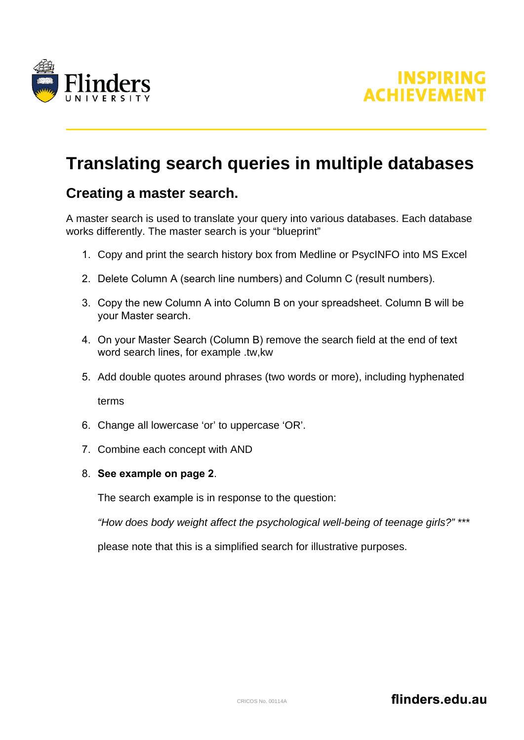



# **Translating search queries in multiple databases**

### **Creating a master search.**

A master search is used to translate your query into various databases. Each database works differently. The master search is your "blueprint"

- 1. Copy and print the search history box from Medline or PsycINFO into MS Excel
- 2. Delete Column A (search line numbers) and Column C (result numbers).
- 3. Copy the new Column A into Column B on your spreadsheet. Column B will be your Master search.
- 4. On your Master Search (Column B) remove the search field at the end of text word search lines, for example .tw,kw
- 5. Add double quotes around phrases (two words or more), including hyphenated

terms

- 6. Change all lowercase 'or' to uppercase 'OR'.
- 7. Combine each concept with AND
- 8. **See example on page 2**.

The search example is in response to the question:

*"How does body weight affect the psychological well-being of teenage girls?"* \*\*\*

please note that this is a simplified search for illustrative purposes.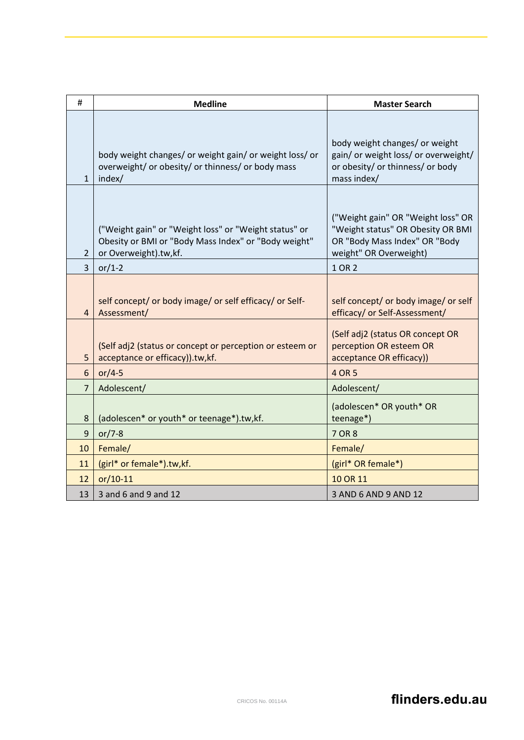| #              | <b>Medline</b>                                                                                                                         | <b>Master Search</b>                                                                                                               |
|----------------|----------------------------------------------------------------------------------------------------------------------------------------|------------------------------------------------------------------------------------------------------------------------------------|
|                |                                                                                                                                        |                                                                                                                                    |
| $\mathbf{1}$   | body weight changes/ or weight gain/ or weight loss/ or<br>overweight/ or obesity/ or thinness/ or body mass<br>index/                 | body weight changes/ or weight<br>gain/ or weight loss/ or overweight/<br>or obesity/ or thinness/ or body<br>mass index/          |
| $\overline{2}$ | ("Weight gain" or "Weight loss" or "Weight status" or<br>Obesity or BMI or "Body Mass Index" or "Body weight"<br>or Overweight).tw,kf. | ("Weight gain" OR "Weight loss" OR<br>"Weight status" OR Obesity OR BMI<br>OR "Body Mass Index" OR "Body<br>weight" OR Overweight) |
| 3              | or/1-2                                                                                                                                 | 1 OR 2                                                                                                                             |
| 4              | self concept/ or body image/ or self efficacy/ or Self-<br>Assessment/                                                                 | self concept/ or body image/ or self<br>efficacy/ or Self-Assessment/<br>(Self adj2 (status OR concept OR                          |
| 5              | (Self adj2 (status or concept or perception or esteem or<br>acceptance or efficacy)).tw,kf.                                            | perception OR esteem OR<br>acceptance OR efficacy))                                                                                |
| 6              | or/4-5                                                                                                                                 | 4 OR 5                                                                                                                             |
| $\overline{7}$ | Adolescent/                                                                                                                            | Adolescent/                                                                                                                        |
| 8              | (adolescen* or youth* or teenage*).tw,kf.                                                                                              | (adolescen* OR youth* OR<br>teenage*)                                                                                              |
| 9              | or/7-8                                                                                                                                 | 7 OR 8                                                                                                                             |
| 10             | Female/                                                                                                                                | Female/                                                                                                                            |
| 11             | (girl* or female*).tw,kf.                                                                                                              | (girl* OR female*)                                                                                                                 |
| 12             | $or/10-11$                                                                                                                             | 10 OR 11                                                                                                                           |
| 13             | 3 and 6 and 9 and 12                                                                                                                   | 3 AND 6 AND 9 AND 12                                                                                                               |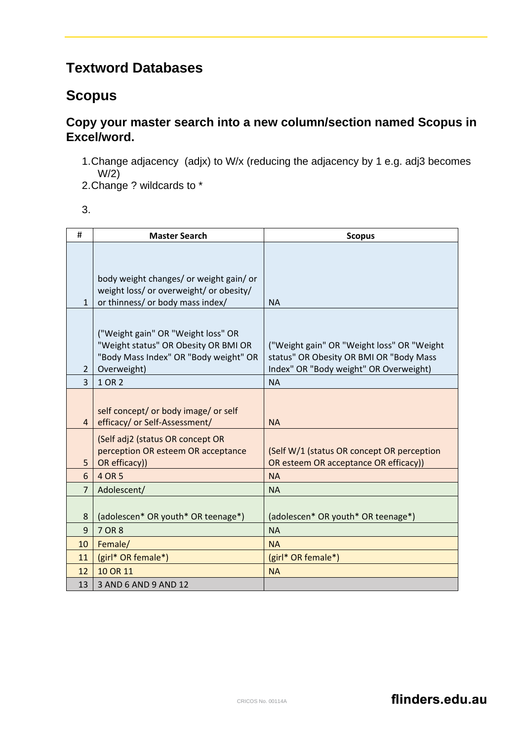# **Textword Databases**

## **Scopus**

#### **Copy your master search into a new column/section named Scopus in Excel/word.**

1.Change adjacency (adjx) to W/x (reducing the adjacency by 1 e.g. adj3 becomes W/2)

2.Change ? wildcards to \*

| ٠                      |  |
|------------------------|--|
| I<br>×<br>٠<br>۰.<br>w |  |

| #              | <b>Master Search</b>                    | <b>Scopus</b>                              |
|----------------|-----------------------------------------|--------------------------------------------|
|                |                                         |                                            |
|                |                                         |                                            |
|                | body weight changes/ or weight gain/ or |                                            |
|                | weight loss/ or overweight/ or obesity/ |                                            |
| $\mathbf{1}$   | or thinness/ or body mass index/        | <b>NA</b>                                  |
|                |                                         |                                            |
|                | ("Weight gain" OR "Weight loss" OR      |                                            |
|                | "Weight status" OR Obesity OR BMI OR    | ("Weight gain" OR "Weight loss" OR "Weight |
|                | "Body Mass Index" OR "Body weight" OR   | status" OR Obesity OR BMI OR "Body Mass    |
| 2              | Overweight)                             | Index" OR "Body weight" OR Overweight)     |
| $\overline{3}$ | 1 OR 2                                  | <b>NA</b>                                  |
|                |                                         |                                            |
|                | self concept/ or body image/ or self    |                                            |
| $\overline{4}$ | efficacy/ or Self-Assessment/           | <b>NA</b>                                  |
|                | (Self adj2 (status OR concept OR        |                                            |
|                | perception OR esteem OR acceptance      | (Self W/1 (status OR concept OR perception |
| 5              | OR efficacy))                           | OR esteem OR acceptance OR efficacy))      |
| 6              | 4 OR 5                                  | <b>NA</b>                                  |
| $\overline{7}$ | Adolescent/                             | <b>NA</b>                                  |
|                |                                         |                                            |
| 8              | (adolescen* OR youth* OR teenage*)      | (adolescen* OR youth* OR teenage*)         |
| 9              | 7 OR 8                                  | <b>NA</b>                                  |
| 10             | Female/                                 | <b>NA</b>                                  |
| 11             | (girl* OR female*)                      | (girl* OR female*)                         |
| 12             | 10 OR 11                                | <b>NA</b>                                  |
| 13             | 3 AND 6 AND 9 AND 12                    |                                            |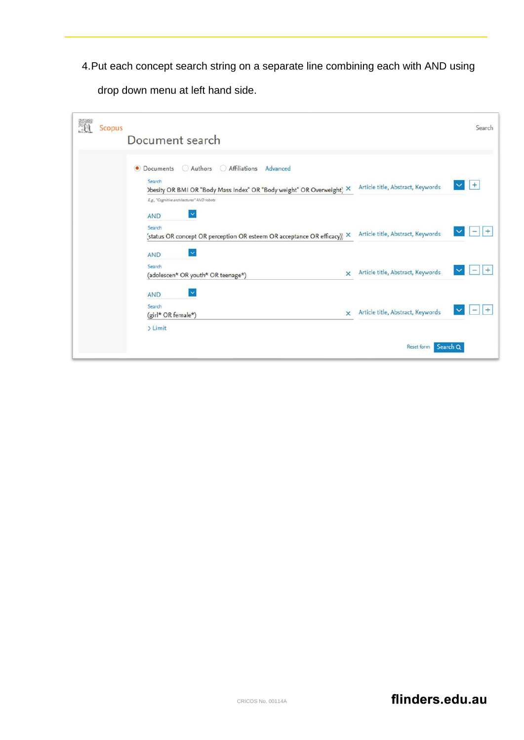4.Put each concept search string on a separate line combining each with AND using

drop down menu at left hand side.

| 顟 | <b>Scopus</b> |                                                                                    |                                   | Search |
|---|---------------|------------------------------------------------------------------------------------|-----------------------------------|--------|
|   |               | Document search                                                                    |                                   |        |
|   |               |                                                                                    |                                   |        |
|   |               | Authors<br>Affiliations<br>Advanced<br>$\circ$<br><b>Documents</b><br>(            |                                   |        |
|   |               | Search<br>) besity OR BMI OR "Body Mass Index" OR "Body weight" OR Overweight) X   | Article title, Abstract, Keywords | $+$    |
|   |               | E.g., "Cognitive architectures" AND robots<br>$\checkmark$<br><b>AND</b>           |                                   |        |
|   |               | Search<br>(status OR concept OR perception OR esteem OR acceptance OR efficacy)) X | Article title, Abstract, Keywords |        |
|   |               | $\checkmark$<br><b>AND</b>                                                         |                                   |        |
|   |               | Search<br>$\times$<br>(adolescen* OR youth* OR teenage*)                           | Article title, Abstract, Keywords | +      |
|   |               | ×<br><b>AND</b>                                                                    |                                   |        |
|   |               | Search<br>$\times$<br>(girl* OR female*)                                           | Article title, Abstract, Keywords |        |
|   |               | $\sum$ Limit                                                                       |                                   |        |
|   |               |                                                                                    | Reset form Search Q               |        |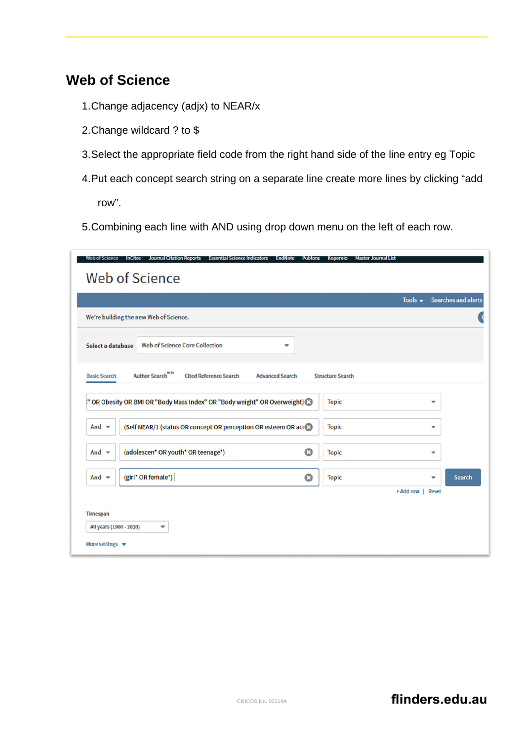### **Web of Science**

- 1.Change adjacency (adjx) to NEAR/x
- 2.Change wildcard ? to \$
- 3.Select the appropriate field code from the right hand side of the line entry eg Topic
- 4.Put each concept search string on a separate line create more lines by clicking "add row".
- 5. Combining each line with AND using drop down menu on the left of each row.

|                          |                                                                                                 | Tools $\bullet$         | <b>Searches and alerts</b> |
|--------------------------|-------------------------------------------------------------------------------------------------|-------------------------|----------------------------|
|                          | We're building the new Web of Science.                                                          |                         |                            |
| Select a database        | <b>Web of Science Core Collection</b><br>$\overline{\mathbf{v}}$                                |                         |                            |
| <b>Basic Search</b>      | <b>Author Search</b> <sup>BETA</sup><br><b>Cited Reference Search</b><br><b>Advanced Search</b> | <b>Structure Search</b> |                            |
|                          | " OR Obesity OR BMI OR "Body Mass Index" OR "Body weight" OR Overweight)                        | <b>Topic</b>            | ▼                          |
| And $\blacktriangledown$ | (Self NEAR/1 (status OR concept OR perception OR esteem OR act 3)                               | <b>Topic</b>            | ▼                          |
| And $\blacktriangledown$ | $\bullet$<br>(adolescen* OR youth* OR teenage*)                                                 | <b>Topic</b>            | $\mathbf{v}$               |
| And $\blacktriangledown$ | (girl* OR female*)<br>O                                                                         | <b>Topic</b>            | <b>Search</b><br>▼         |
|                          |                                                                                                 | + Add row               | <b>Reset</b>               |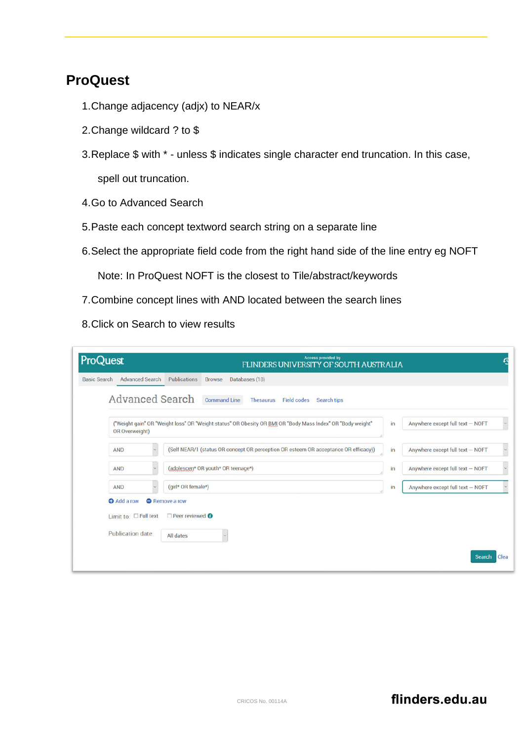### **ProQuest**

- 1.Change adjacency (adjx) to NEAR/x
- 2.Change wildcard ? to \$
- 3.Replace \$ with \* unless \$ indicates single character end truncation. In this case, spell out truncation.
- 4.Go to Advanced Search
- 5.Paste each concept textword search string on a separate line
- 6.Select the appropriate field code from the right hand side of the line entry eg NOFT

Note: In ProQuest NOFT is the closest to Tile/abstract/keywords

- 7.Combine concept lines with AND located between the search lines
- 8.Click on Search to view results

| <b>ProQuest</b>                                            | <b>Access provided by</b><br>FLINDERS UNIVERSITY OF SOUTH AUSTRALIA                                        |    |                                  | $\mathfrak{a}$        |
|------------------------------------------------------------|------------------------------------------------------------------------------------------------------------|----|----------------------------------|-----------------------|
| <b>Advanced Search Publications</b><br><b>Basic Search</b> | <b>Browse</b><br>Databases (18)                                                                            |    |                                  |                       |
| <b>Advanced Search</b>                                     | <b>Command Line</b><br><b>Field codes</b><br>Thesaurus<br><b>Search tips</b>                               |    |                                  |                       |
| OR Overweight)                                             | ("Weight gain" OR "Weight loss" OR "Weight status" OR Obesity OR BMI OR "Body Mass Index" OR "Body weight" | in | Anywhere except full text - NOFT | $\sim$                |
| <b>AND</b>                                                 | (Self NEAR/1 (status OR concept OR perception OR esteem OR acceptance OR efficacy))                        | in | Anywhere except full text - NOFT | $\check{\phantom{a}}$ |
| <b>AND</b>                                                 | (adolescen* OR youth* OR teenage*)                                                                         | in | Anywhere except full text - NOFT | $\check{~}$           |
| <b>AND</b>                                                 | (girl* OR female*)                                                                                         | in | Anywhere except full text - NOFT |                       |
| Add a row                                                  | <b>A</b> Remove a row                                                                                      |    |                                  |                       |
| Limit to: $\square$ Full text                              | $\Box$ Peer reviewed $\bigcirc$                                                                            |    |                                  |                       |
| <b>Publication date:</b>                                   | All dates                                                                                                  |    |                                  |                       |
|                                                            |                                                                                                            |    | <b>Search</b>                    | Clea                  |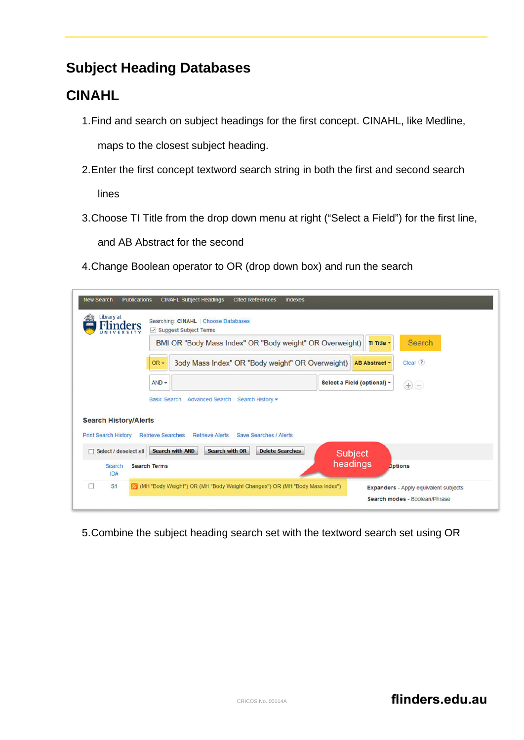## **Subject Heading Databases**

# **CINAHL**

- 1.Find and search on subject headings for the first concept. CINAHL, like Medline, maps to the closest subject heading.
- 2.Enter the first concept textword search string in both the first and second search lines
- 3.Choose TI Title from the drop down menu at right ("Select a Field") for the first line, and AB Abstract for the second

4.Change Boolean operator to OR (drop down box) and run the search

| <b>New Search</b><br><b>Publications</b><br>Library at      | <b>CINAHL Subject Headings</b><br><b>Cited References</b><br>Searching: CINAHL Choose Databases                               | <b>Indexes</b>              |                                                                               |
|-------------------------------------------------------------|-------------------------------------------------------------------------------------------------------------------------------|-----------------------------|-------------------------------------------------------------------------------|
|                                                             | ☑ Suggest Subject Terms<br>BMI OR "Body Mass Index" OR "Body weight" OR Overweight)                                           | TI Title -                  | Search                                                                        |
|                                                             | 3ody Mass Index" OR "Body weight" OR Overweight)<br>$OR -$                                                                    | AB Abstract -               | Clear <sup>?</sup>                                                            |
|                                                             | $AND -$                                                                                                                       | Select a Field (optional) - | $\bigoplus$                                                                   |
| <b>Search History/Alerts</b><br><b>Print Search History</b> | Basic Search Advanced Search Search History -<br><b>Retrieve Searches</b><br>Save Searches / Alerts<br><b>Retrieve Alerts</b> |                             |                                                                               |
| $\Box$ Select / deselect all                                | <b>Search with OR</b><br><b>Delete Searches</b><br><b>Search with AND</b>                                                     | Subject                     |                                                                               |
| Search<br>ID#                                               | <b>Search Terms</b>                                                                                                           | headings<br><b>Dptions</b>  |                                                                               |
| ⊓<br>S <sub>1</sub>                                         | (MH "Body Weight") OR (MH "Body Weight Changes") OR (MH "Body Mass Index")                                                    |                             | <b>Expanders</b> - Apply equivalent subjects<br>Search modes - Boolean/Phrase |

5.Combine the subject heading search set with the textword search set using OR